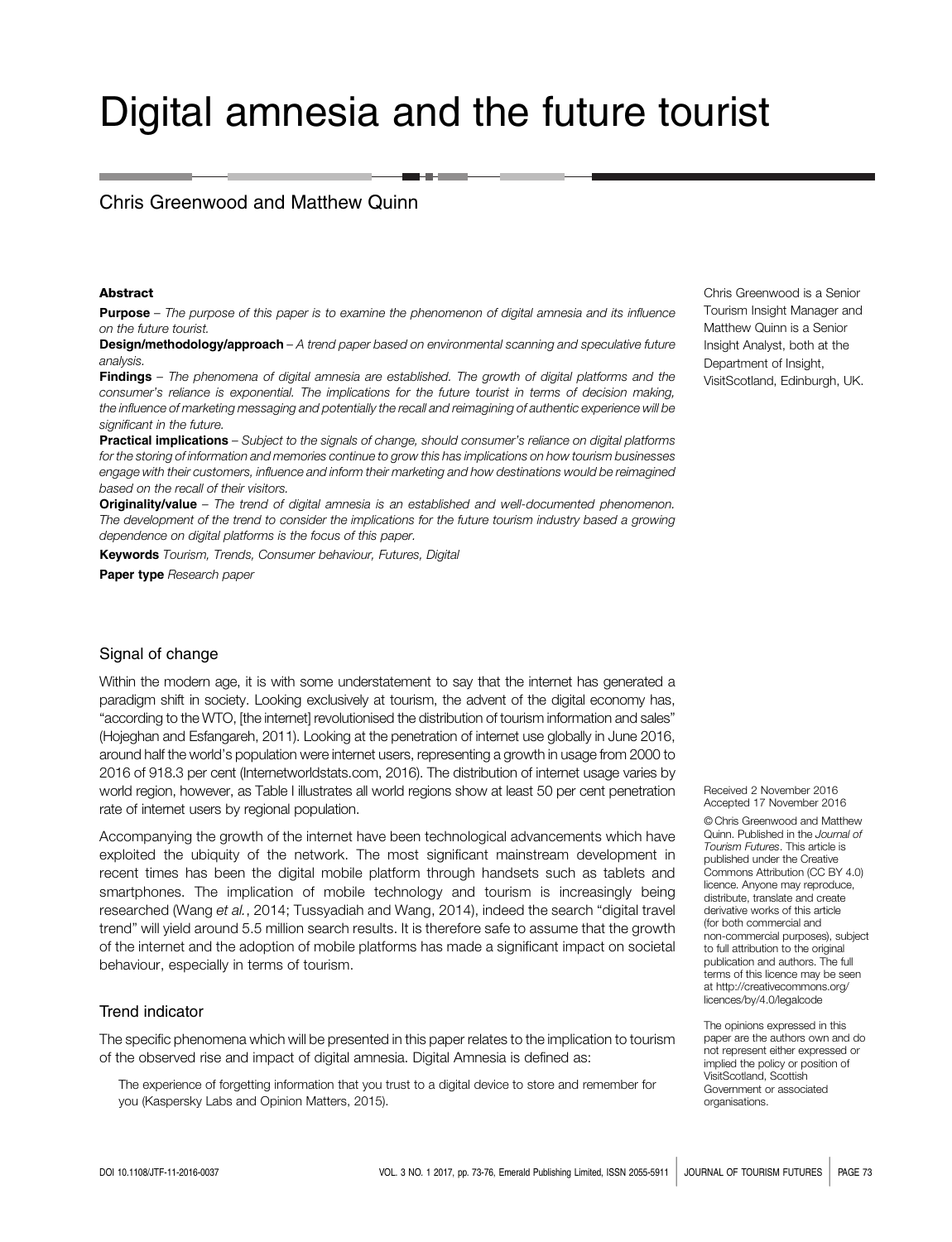# Digital amnesia and the future tourist

## Chris Greenwood and Matthew Quinn

#### Abstract

**Purpose** – The purpose of this paper is to examine the phenomenon of digital amnesia and its influence on the future tourist.

**Design/methodology/approach** – A trend paper based on environmental scanning and speculative future analysis.

Findings – The phenomena of digital amnesia are established. The growth of digital platforms and the consumer's reliance is exponential. The implications for the future tourist in terms of decision making, the influence of marketing messaging and potentially the recall and reimagining of authentic experience will be significant in the future.

Practical implications – Subject to the signals of change, should consumer's reliance on digital platforms for the storing of information and memories continue to grow this has implications on how tourism businesses engage with their customers, influence and inform their marketing and how destinations would be reimagined based on the recall of their visitors.

**Originality/value** – The trend of digital amnesia is an established and well-documented phenomenon. The development of the trend to consider the implications for the future tourism industry based a growing dependence on digital platforms is the focus of this paper.

**Keywords** Tourism, Trends, Consumer behaviour, Futures, Digital

Paper type Research paper

### Signal of change

Within the modern age, it is with some understatement to say that the internet has generated a paradigm shift in society. Looking exclusively at tourism, the advent of the digital economy has, "according to the WTO, [the internet] revolutionised the distribution of tourism information and sales" (Hojeghan and Esfangareh, 2011). Looking at the penetration of internet use globally in June 2016, around half the world's population were internet users, representing a growth in usage from 2000 to 2016 of 918.3 per cent (Internetworldstats.com, 2016). The distribution of internet usage varies by world region, however, as Table I illustrates all world regions show at least 50 per cent penetration rate of internet users by regional population.

Accompanying the growth of the internet have been technological advancements which have exploited the ubiquity of the network. The most significant mainstream development in recent times has been the digital mobile platform through handsets such as tablets and smartphones. The implication of mobile technology and tourism is increasingly being researched (Wang et al., 2014; Tussyadiah and Wang, 2014), indeed the search "digital travel trend" will yield around 5.5 million search results. It is therefore safe to assume that the growth of the internet and the adoption of mobile platforms has made a significant impact on societal behaviour, especially in terms of tourism.

#### Trend indicator

The specific phenomena which will be presented in this paper relates to the implication to tourism of the observed rise and impact of digital amnesia. Digital Amnesia is defined as:

The experience of forgetting information that you trust to a digital device to store and remember for you (Kaspersky Labs and Opinion Matters, 2015).

Chris Greenwood is a Senior Tourism Insight Manager and Matthew Quinn is a Senior Insight Analyst, both at the Department of Insight, VisitScotland, Edinburgh, UK.

Received 2 November 2016 Accepted 17 November 2016

© Chris Greenwood and Matthew Quinn. Published in the Journal of Tourism Futures. This article is published under the Creative Commons Attribution (CC BY 4.0) licence. Anyone may reproduce, distribute, translate and create derivative works of this article (for both commercial and non-commercial purposes), subject to full attribution to the original publication and authors. The full terms of this licence may be seen at http://creativecommons.org/ licences/by/4.0/legalcode

The opinions expressed in this paper are the authors own and do not represent either expressed or implied the policy or position of VisitScotland, Scottish Government or associated organisations.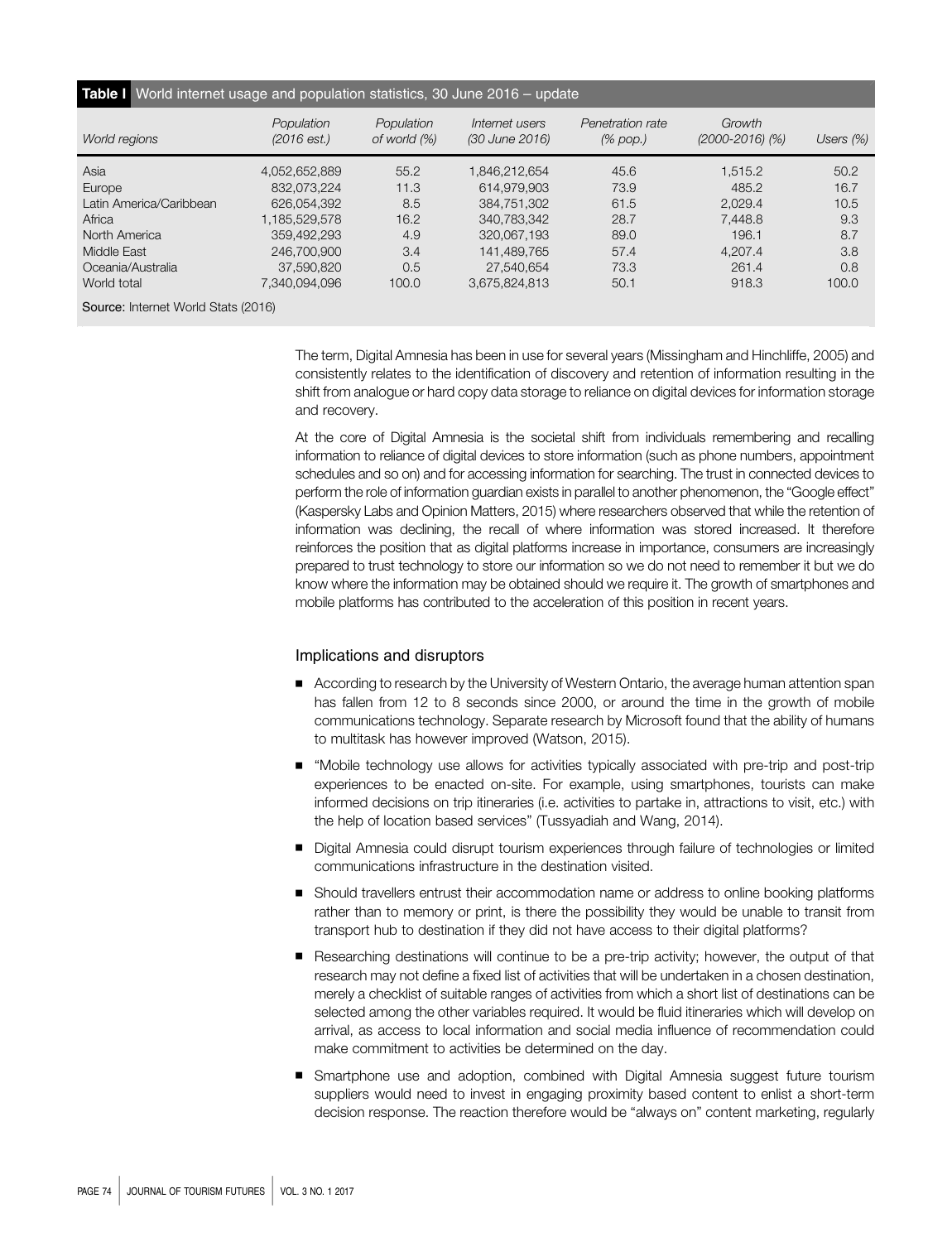#### Table I World internet usage and population statistics, 30 June 2016 - update

| World regions                       | Population<br>(2016est.) | Population<br>of world (%) | Internet users<br>(30 June 2016) | Penetration rate<br>$(\%$ pop.) | Growth<br>$(2000 - 2016)$ (%) | Users $(\%)$ |
|-------------------------------------|--------------------------|----------------------------|----------------------------------|---------------------------------|-------------------------------|--------------|
| Asia                                | 4,052,652,889            | 55.2                       | 1.846.212.654                    | 45.6                            | 1.515.2                       | 50.2         |
| Europe                              | 832.073.224              | 11.3                       | 614,979,903                      | 73.9                            | 485.2                         | 16.7         |
| Latin America/Caribbean             | 626.054.392              | 8.5                        | 384.751.302                      | 61.5                            | 2,029.4                       | 10.5         |
| Africa                              | 1,185,529,578            | 16.2                       | 340.783.342                      | 28.7                            | 7.448.8                       | 9.3          |
| North America                       | 359,492,293              | 4.9                        | 320,067,193                      | 89.0                            | 196.1                         | 8.7          |
| Middle East                         | 246,700,900              | 3.4                        | 141,489,765                      | 57.4                            | 4,207.4                       | 3.8          |
| Oceania/Australia                   | 37,590,820               | 0.5                        | 27.540.654                       | 73.3                            | 261.4                         | 0.8          |
| World total                         | 7,340,094,096            | 100.0                      | 3.675.824.813                    | 50.1                            | 918.3                         | 100.0        |
| Source: Internet World Stats (2016) |                          |                            |                                  |                                 |                               |              |

The term, Digital Amnesia has been in use for several years (Missingham and Hinchliffe, 2005) and consistently relates to the identification of discovery and retention of information resulting in the shift from analogue or hard copy data storage to reliance on digital devices for information storage and recovery.

At the core of Digital Amnesia is the societal shift from individuals remembering and recalling information to reliance of digital devices to store information (such as phone numbers, appointment schedules and so on) and for accessing information for searching. The trust in connected devices to perform the role of information guardian exists in parallel to another phenomenon, the "Google effect" (Kaspersky Labs and Opinion Matters, 2015) where researchers observed that while the retention of information was declining, the recall of where information was stored increased. It therefore reinforces the position that as digital platforms increase in importance, consumers are increasingly prepared to trust technology to store our information so we do not need to remember it but we do know where the information may be obtained should we require it. The growth of smartphones and mobile platforms has contributed to the acceleration of this position in recent years.

#### Implications and disruptors

- According to research by the University of Western Ontario, the average human attention span has fallen from 12 to 8 seconds since 2000, or around the time in the growth of mobile communications technology. Separate research by Microsoft found that the ability of humans to multitask has however improved (Watson, 2015).
- "Mobile technology use allows for activities typically associated with pre-trip and post-trip experiences to be enacted on-site. For example, using smartphones, tourists can make informed decisions on trip itineraries (i.e. activities to partake in, attractions to visit, etc.) with the help of location based services" (Tussyadiah and Wang, 2014).
- Digital Amnesia could disrupt tourism experiences through failure of technologies or limited communications infrastructure in the destination visited.
- Should travellers entrust their accommodation name or address to online booking platforms rather than to memory or print, is there the possibility they would be unable to transit from transport hub to destination if they did not have access to their digital platforms?
- Researching destinations will continue to be a pre-trip activity; however, the output of that research may not define a fixed list of activities that will be undertaken in a chosen destination, merely a checklist of suitable ranges of activities from which a short list of destinations can be selected among the other variables required. It would be fluid itineraries which will develop on arrival, as access to local information and social media influence of recommendation could make commitment to activities be determined on the day.
- Smartphone use and adoption, combined with Digital Amnesia suggest future tourism suppliers would need to invest in engaging proximity based content to enlist a short-term decision response. The reaction therefore would be "always on" content marketing, regularly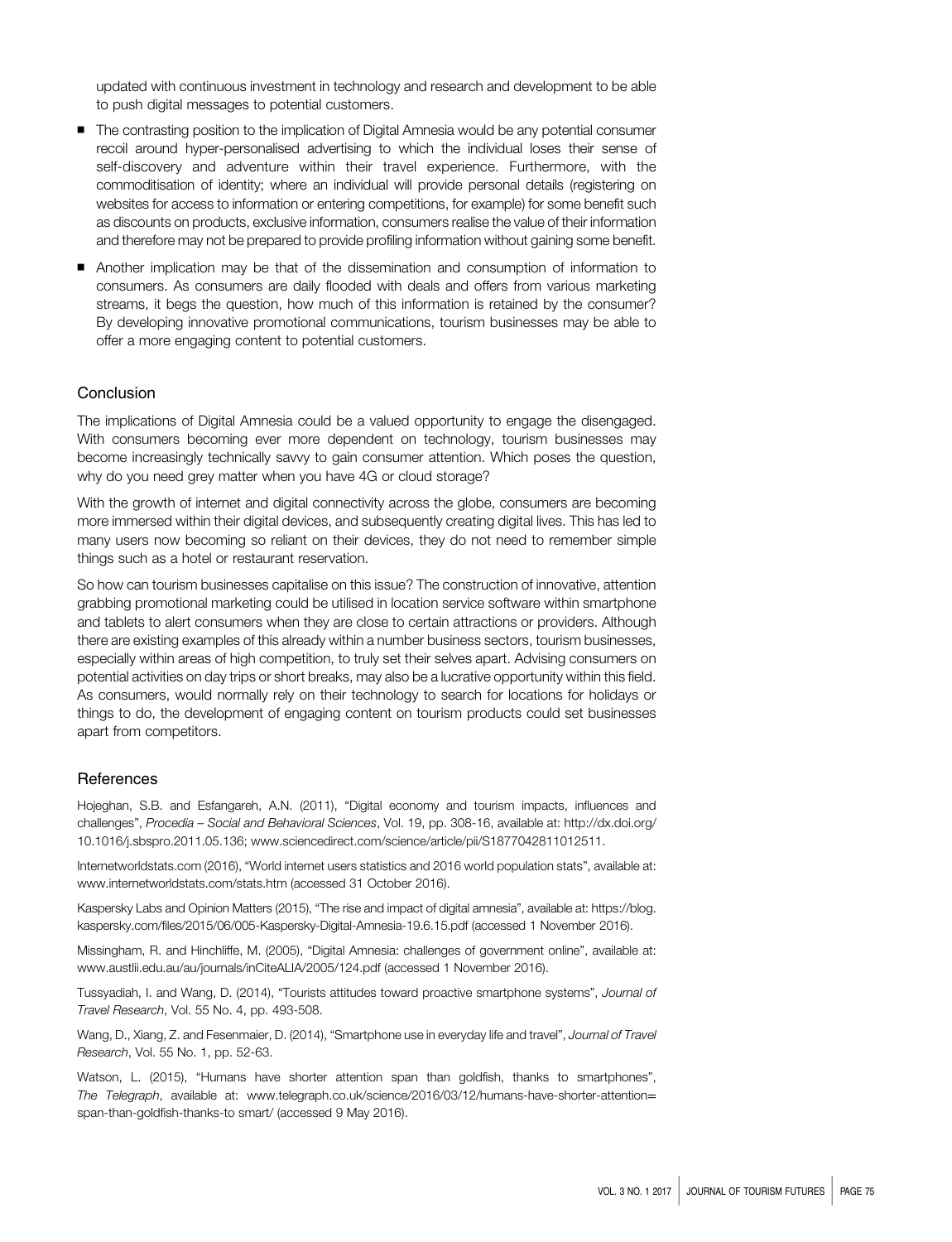updated with continuous investment in technology and research and development to be able to push digital messages to potential customers.

- The contrasting position to the implication of Digital Amnesia would be any potential consumer recoil around hyper-personalised advertising to which the individual loses their sense of self-discovery and adventure within their travel experience. Furthermore, with the commoditisation of identity; where an individual will provide personal details (registering on websites for access to information or entering competitions, for example) for some benefit such as discounts on products, exclusive information, consumers realise the value of their information and therefore may not be prepared to provide profiling information without gaining some benefit.
- Another implication may be that of the dissemination and consumption of information to consumers. As consumers are daily flooded with deals and offers from various marketing streams, it begs the question, how much of this information is retained by the consumer? By developing innovative promotional communications, tourism businesses may be able to offer a more engaging content to potential customers.

#### Conclusion

The implications of Digital Amnesia could be a valued opportunity to engage the disengaged. With consumers becoming ever more dependent on technology, tourism businesses may become increasingly technically savvy to gain consumer attention. Which poses the question, why do you need grey matter when you have 4G or cloud storage?

With the growth of internet and digital connectivity across the globe, consumers are becoming more immersed within their digital devices, and subsequently creating digital lives. This has led to many users now becoming so reliant on their devices, they do not need to remember simple things such as a hotel or restaurant reservation.

So how can tourism businesses capitalise on this issue? The construction of innovative, attention grabbing promotional marketing could be utilised in location service software within smartphone and tablets to alert consumers when they are close to certain attractions or providers. Although there are existing examples of this already within a number business sectors, tourism businesses, especially within areas of high competition, to truly set their selves apart. Advising consumers on potential activities on day trips or short breaks, may also be a lucrative opportunity within this field. As consumers, would normally rely on their technology to search for locations for holidays or things to do, the development of engaging content on tourism products could set businesses apart from competitors.

#### References

Hojeghan, S.B. and Esfangareh, A.N. (2011), "Digital economy and tourism impacts, influences and challenges", Procedia – Social and Behavioral Sciences, Vol. 19, pp. 308-16, available at: [http://dx.doi.org/](http://dx.doi.org/10.1016/j.sbspro.2011.05.136; www.sciencedirect.com/science/article/pii/S1877042811012511.) [10.1016/j.sbspro.2011.05.136; www.sciencedirect.com/science/article/pii/S1877042811012511.](http://dx.doi.org/10.1016/j.sbspro.2011.05.136; www.sciencedirect.com/science/article/pii/S1877042811012511.)

Internetworldstats.com (2016), "World internet users statistics and 2016 world population stats", available at: <www.internetworldstats.com/stats.htm> (accessed 31 October 2016).

Kaspersky Labs and Opinion Matters (2015), "The rise and impact of digital amnesia", available at: [https://blog.](https://blog.kaspersky.com/files/2015/06/005-Kaspersky-Digital-Amnesia-19.6.15.pdf) [kaspersky.com/files/2015/06/005-Kaspersky-Digital-Amnesia-19.6.15.pdf](https://blog.kaspersky.com/files/2015/06/005-Kaspersky-Digital-Amnesia-19.6.15.pdf) (accessed 1 November 2016).

Missingham, R. and Hinchliffe, M. (2005), "Digital Amnesia: challenges of government online", available at: <www.austlii.edu.au/au/journals/inCiteALIA/2005/124.pdf> (accessed 1 November 2016).

Tussyadiah, I. and Wang, D. (2014), "Tourists attitudes toward proactive smartphone systems", Journal of Travel Research, Vol. 55 No. 4, pp. 493-508.

Wang, D., Xiang, Z. and Fesenmaier, D. (2014), "Smartphone use in everyday life and travel", Journal of Travel Research, Vol. 55 No. 1, pp. 52-63.

Watson, L. (2015), "Humans have shorter attention span than goldfish, thanks to smartphones", The Telegraph, available at: [www.telegraph.co.uk/science/2016/03/12/humans-have-shorter-attention](www.telegraph.co.uk/science/2016/03/12/humans-have-shorter-attention=span-than-goldfish-thanks-to smart/)= [span-than-goldfish-thanks-to smart/](www.telegraph.co.uk/science/2016/03/12/humans-have-shorter-attention=span-than-goldfish-thanks-to smart/) (accessed 9 May 2016).